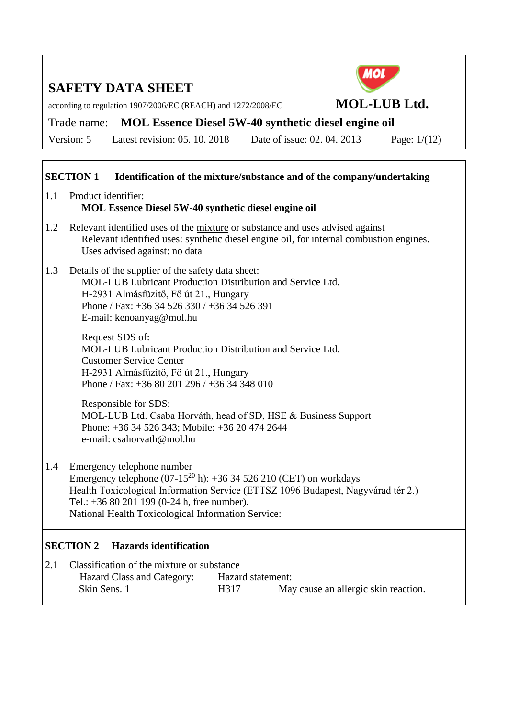according to regulation 1907/2006/EC (REACH) and 1272/2008/EC **MOL-LUB Ltd.**



## Trade name: **MOL Essence Diesel 5W-40 synthetic diesel engine oil**

Version: 5 Latest revision: 05. 10. 2018 Date of issue: 02. 04. 2013 Page: 1/(12)

### **SECTION 1 Identification of the mixture/substance and of the company/undertaking**

- 1.1 Product identifier: **MOL Essence Diesel 5W-40 synthetic diesel engine oil**
- 1.2 Relevant identified uses of the mixture or substance and uses advised against Relevant identified uses: synthetic diesel engine oil, for internal combustion engines. Uses advised against: no data
- 1.3 Details of the supplier of the safety data sheet: MOL-LUB Lubricant Production Distribution and Service Ltd. H-2931 Almásfüzitő, Fő út 21., Hungary Phone / Fax: +36 34 526 330 / +36 34 526 391 E-mail: kenoanyag@mol.hu

Request SDS of: MOL-LUB Lubricant Production Distribution and Service Ltd. Customer Service Center H-2931 Almásfüzitő, Fő út 21., Hungary Phone / Fax: +36 80 201 296 / +36 34 348 010

Responsible for SDS: MOL-LUB Ltd. Csaba Horváth, head of SD, HSE & Business Support Phone: +36 34 526 343; Mobile: +36 20 474 2644 e-mail: csahorvath@mol.hu

1.4 Emergency telephone number Emergency telephone  $(07-15^{20} h)$ : +36 34 526 210 (CET) on workdays Health Toxicological Information Service (ETTSZ 1096 Budapest, Nagyvárad tér 2.) Tel.: +36 80 201 199 (0-24 h, free number). National Health Toxicological Information Service:

### **SECTION 2 Hazards identification**

| 2.1 | Classification of the mixture or substance |                   |                                      |  |  |
|-----|--------------------------------------------|-------------------|--------------------------------------|--|--|
|     | Hazard Class and Category:                 | Hazard statement: |                                      |  |  |
|     | Skin Sens. 1                               | H317              | May cause an allergic skin reaction. |  |  |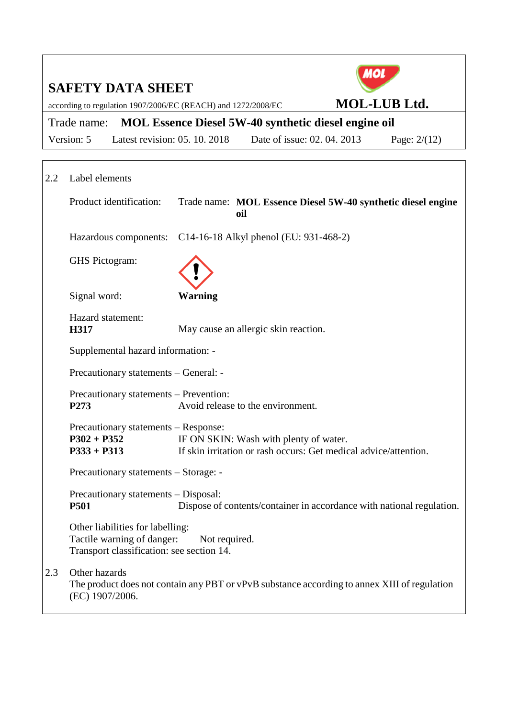|                                       | ИОІ                                                                                                                           |                                                              |                                                                  |                                                                       |  |  |  |  |
|---------------------------------------|-------------------------------------------------------------------------------------------------------------------------------|--------------------------------------------------------------|------------------------------------------------------------------|-----------------------------------------------------------------------|--|--|--|--|
|                                       | <b>SAFETY DATA SHEET</b><br><b>MOL-LUB Ltd.</b><br>according to regulation 1907/2006/EC (REACH) and 1272/2008/EC              |                                                              |                                                                  |                                                                       |  |  |  |  |
|                                       | Trade name:                                                                                                                   |                                                              | <b>MOL Essence Diesel 5W-40 synthetic diesel engine oil</b>      |                                                                       |  |  |  |  |
|                                       | Version: 5                                                                                                                    | Latest revision: 05. 10. 2018                                | Date of issue: 02. 04. 2013                                      | Page: $2/(12)$                                                        |  |  |  |  |
|                                       |                                                                                                                               |                                                              |                                                                  |                                                                       |  |  |  |  |
| 2.2                                   | Label elements                                                                                                                |                                                              |                                                                  |                                                                       |  |  |  |  |
|                                       | Product identification:                                                                                                       | oil                                                          |                                                                  | Trade name: MOL Essence Diesel 5W-40 synthetic diesel engine          |  |  |  |  |
|                                       |                                                                                                                               | Hazardous components: C14-16-18 Alkyl phenol (EU: 931-468-2) |                                                                  |                                                                       |  |  |  |  |
|                                       | GHS Pictogram:                                                                                                                |                                                              |                                                                  |                                                                       |  |  |  |  |
|                                       | Signal word:                                                                                                                  | <b>Warning</b>                                               |                                                                  |                                                                       |  |  |  |  |
|                                       | Hazard statement:<br>H317                                                                                                     | May cause an allergic skin reaction.                         |                                                                  |                                                                       |  |  |  |  |
|                                       | Supplemental hazard information: -                                                                                            |                                                              |                                                                  |                                                                       |  |  |  |  |
|                                       | Precautionary statements – General: -                                                                                         |                                                              |                                                                  |                                                                       |  |  |  |  |
|                                       | Precautionary statements - Prevention:<br>P273                                                                                | Avoid release to the environment.                            |                                                                  |                                                                       |  |  |  |  |
|                                       | Precautionary statements - Response:<br>$P302 + P352$<br>$P333 + P313$                                                        | IF ON SKIN: Wash with plenty of water.                       | If skin irritation or rash occurs: Get medical advice/attention. |                                                                       |  |  |  |  |
| Precautionary statements - Storage: - |                                                                                                                               |                                                              |                                                                  |                                                                       |  |  |  |  |
|                                       | Precautionary statements - Disposal:<br><b>P501</b>                                                                           |                                                              |                                                                  | Dispose of contents/container in accordance with national regulation. |  |  |  |  |
|                                       | $\bigcap_{i=1}^n A_i$ and $\bigcap_{i=1}^n A_i$ and $\bigcap_{i=1}^n A_i$ and $\bigcap_{i=1}^n A_i$ and $\bigcap_{i=1}^n A_i$ |                                                              |                                                                  |                                                                       |  |  |  |  |

Other liabilities for labelling: Tactile warning of danger: Not required. Transport classification: see section 14.

# 2.3 Other hazards

The product does not contain any PBT or vPvB substance according to annex XIII of regulation (EC) 1907/2006.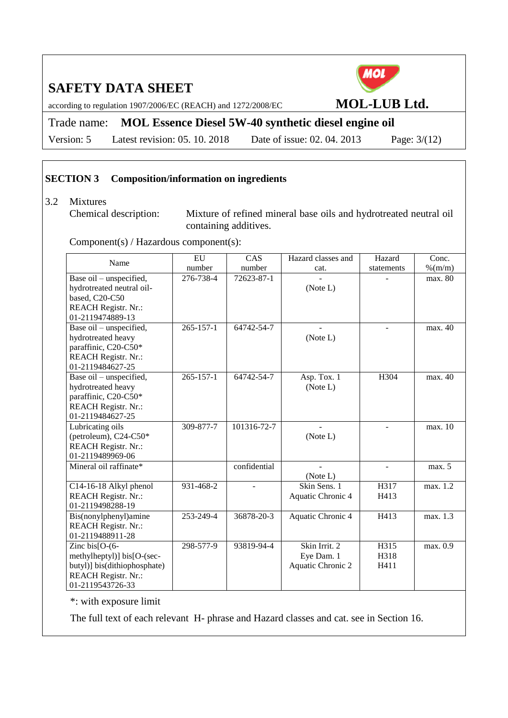according to regulation 1907/2006/EC (REACH) and 1272/2008/EC **MOL-LUB Ltd.**

Trade name: **MOL Essence Diesel 5W-40 synthetic diesel engine oil**

Version: 5 Latest revision: 05. 10. 2018 Date of issue: 02. 04. 2013 Page: 3/(12)

#### **SECTION 3 Composition/information on ingredients**

3.2 Mixtures<br>Chemical description:

Mixture of refined mineral base oils and hydrotreated neutral oil containing additives.

Component(s) / Hazardous component(s):

| Name                         | EU              | CAS          | Hazard classes and | Hazard         | Conc.      |
|------------------------------|-----------------|--------------|--------------------|----------------|------------|
|                              | number          | number       | cat.               | statements     | $\%$ (m/m) |
| Base oil – unspecified,      | 276-738-4       | 72623-87-1   |                    |                | max. 80    |
| hydrotreated neutral oil-    |                 |              | (Note L)           |                |            |
| based, C20-C50               |                 |              |                    |                |            |
| <b>REACH Registr. Nr.:</b>   |                 |              |                    |                |            |
| 01-2119474889-13             |                 |              |                    |                |            |
| Base oil – unspecified,      | $265 - 157 - 1$ | 64742-54-7   |                    | ÷.             | max. 40    |
| hydrotreated heavy           |                 |              | (Note L)           |                |            |
| paraffinic, C20-C50*         |                 |              |                    |                |            |
| <b>REACH Registr. Nr.:</b>   |                 |              |                    |                |            |
| 01-2119484627-25             |                 |              |                    |                |            |
| Base oil - unspecified,      | $265 - 157 - 1$ | 64742-54-7   | Asp. Tox. 1        | H304           | max. 40    |
| hydrotreated heavy           |                 |              | (Note L)           |                |            |
| paraffinic, C20-C50*         |                 |              |                    |                |            |
| <b>REACH Registr. Nr.:</b>   |                 |              |                    |                |            |
| 01-2119484627-25             |                 |              |                    |                |            |
| Lubricating oils             | 309-877-7       | 101316-72-7  |                    |                | max. 10    |
| (petroleum), C24-C50*        |                 |              | (Note L)           |                |            |
| <b>REACH Registr. Nr.:</b>   |                 |              |                    |                |            |
| 01-2119489969-06             |                 |              |                    |                |            |
| Mineral oil raffinate*       |                 | confidential |                    | $\overline{a}$ | max. 5     |
|                              |                 |              | (Note L)           |                |            |
| C14-16-18 Alkyl phenol       | 931-468-2       |              | Skin Sens. 1       | H317           | max. 1.2   |
| <b>REACH Registr. Nr.:</b>   |                 |              | Aquatic Chronic 4  | H413           |            |
| 01-2119498288-19             |                 |              |                    |                |            |
| Bis(nonylphenyl)amine        | 253-249-4       | 36878-20-3   | Aquatic Chronic 4  | H413           | max. 1.3   |
| <b>REACH Registr. Nr.:</b>   |                 |              |                    |                |            |
| 01-2119488911-28             |                 |              |                    |                |            |
| Zinc bis $[O-(6-$            | 298-577-9       | 93819-94-4   | Skin Irrit. 2      | H315           | max. 0.9   |
| methylheptyl)] bis[O-(sec-   |                 |              | Eye Dam. 1         | H318           |            |
| butyl)] bis(dithiophosphate) |                 |              | Aquatic Chronic 2  | H411           |            |
| <b>REACH Registr. Nr.:</b>   |                 |              |                    |                |            |
| 01-2119543726-33             |                 |              |                    |                |            |

\*: with exposure limit

The full text of each relevant H- phrase and Hazard classes and cat. see in Section 16.

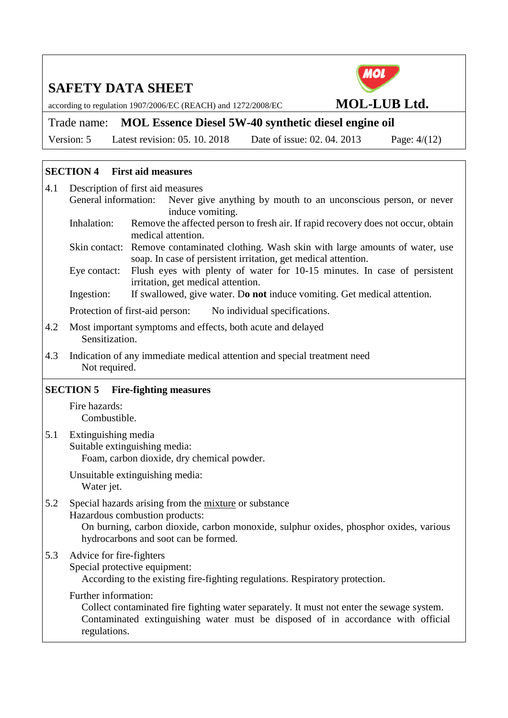according to regulation 1907/2006/EC (REACH) and 1272/2008/EC **MOL-LUB Ltd.**

Trade name: **MOL Essence Diesel 5W-40 synthetic diesel engine oil** Version: 5 Latest revision: 05. 10. 2018 Date of issue: 02. 04. 2013 Page: 4/(12)

#### **SECTION 4 First aid measures**

- 4.1 Description of first aid measures General information: Never give anything by mouth to an unconscious person, or never induce vomiting. Inhalation: Remove the affected person to fresh air. If rapid recovery does not occur, obtain medical attention. Skin contact: Remove contaminated clothing. Wash skin with large amounts of water, use soap. In case of persistent irritation, get medical attention. Eye contact: Flush eyes with plenty of water for 10-15 minutes. In case of persistent irritation, get medical attention. Ingestion: If swallowed, give water. D**o not** induce vomiting. Get medical attention. Protection of first-aid person: No individual specifications. 4.2 Most important symptoms and effects, both acute and delayed Sensitization.
- 4.3 Indication of any immediate medical attention and special treatment need Not required.

### **SECTION 5 Fire-fighting measures**

Fire hazards: Combustible.

5.1 Extinguishing media Suitable extinguishing media: Foam, carbon dioxide, dry chemical powder.

> Unsuitable extinguishing media: Water jet.

#### 5.2 Special hazards arising from the mixture or substance Hazardous combustion products: On burning, carbon dioxide, carbon monoxide, sulphur oxides, phosphor oxides, various hydrocarbons and soot can be formed.

### 5.3 Advice for fire-fighters

Special protective equipment:

According to the existing fire-fighting regulations. Respiratory protection.

#### Further information:

Collect contaminated fire fighting water separately. It must not enter the sewage system. Contaminated extinguishing water must be disposed of in accordance with official regulations.

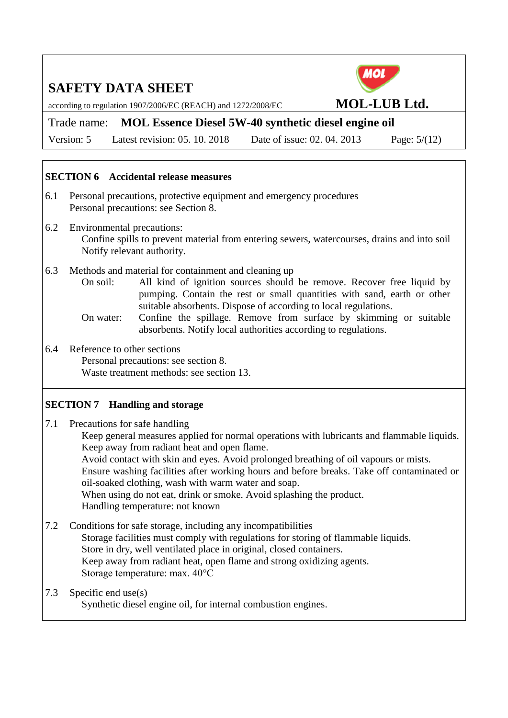according to regulation 1907/2006/EC (REACH) and 1272/2008/EC **MOL-LUB Ltd.**

Trade name: **MOL Essence Diesel 5W-40 synthetic diesel engine oil**

Version: 5 Latest revision: 05. 10. 2018 Date of issue: 02. 04. 2013 Page: 5/(12)

### **SECTION 6 Accidental release measures**

- 6.1 Personal precautions, protective equipment and emergency procedures Personal precautions: see Section 8.
- 6.2 Environmental precautions: Confine spills to prevent material from entering sewers, watercourses, drains and into soil Notify relevant authority.
- 6.3 Methods and material for containment and cleaning up
	- On soil: All kind of ignition sources should be remove. Recover free liquid by pumping. Contain the rest or small quantities with sand, earth or other suitable absorbents. Dispose of according to local regulations.
	- On water: Confine the spillage. Remove from surface by skimming or suitable absorbents. Notify local authorities according to regulations.
- 6.4 Reference to other sections Personal precautions: see section 8. Waste treatment methods: see section 13.

#### **SECTION 7 Handling and storage**

7.1 Precautions for safe handling

Keep general measures applied for normal operations with lubricants and flammable liquids. Keep away from radiant heat and open flame.

Avoid contact with skin and eyes. Avoid prolonged breathing of oil vapours or mists. Ensure washing facilities after working hours and before breaks. Take off contaminated or oil-soaked clothing, wash with warm water and soap.

When using do not eat, drink or smoke. Avoid splashing the product. Handling temperature: not known

- 7.2 Conditions for safe storage, including any incompatibilities Storage facilities must comply with regulations for storing of flammable liquids. Store in dry, well ventilated place in original, closed containers. Keep away from radiant heat, open flame and strong oxidizing agents. Storage temperature: max. 40°C
- 7.3 Specific end use(s)

Synthetic diesel engine oil, for internal combustion engines.

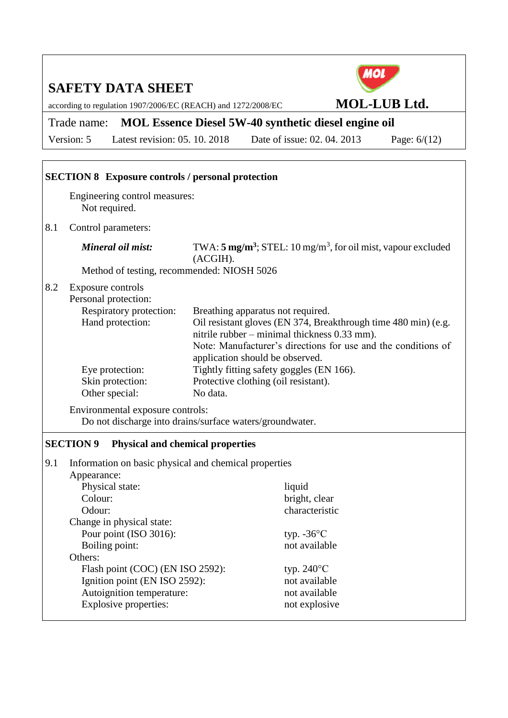according to regulation 1907/2006/EC (REACH) and 1272/2008/EC **MOL-LUB Ltd.** 



# Trade name: **MOL Essence Diesel 5W-40 synthetic diesel engine oil**

Version: 5 Latest revision: 05. 10. 2018 Date of issue: 02. 04. 2013 Page: 6/(12)

|                                 | <b>SECTION 8 Exposure controls / personal protection</b>                                                                                                                                                                                                                                                                                                                                                                                                                                                     |                                                                                                  |  |  |  |  |
|---------------------------------|--------------------------------------------------------------------------------------------------------------------------------------------------------------------------------------------------------------------------------------------------------------------------------------------------------------------------------------------------------------------------------------------------------------------------------------------------------------------------------------------------------------|--------------------------------------------------------------------------------------------------|--|--|--|--|
|                                 | Engineering control measures:<br>Not required.                                                                                                                                                                                                                                                                                                                                                                                                                                                               |                                                                                                  |  |  |  |  |
| 8.1                             | Control parameters:                                                                                                                                                                                                                                                                                                                                                                                                                                                                                          |                                                                                                  |  |  |  |  |
|                                 | Mineral oil mist:                                                                                                                                                                                                                                                                                                                                                                                                                                                                                            | TWA: $5 \text{ mg/m}^3$ ; STEL: 10 mg/m <sup>3</sup> , for oil mist, vapour excluded<br>(ACGIH). |  |  |  |  |
|                                 | Method of testing, recommended: NIOSH 5026                                                                                                                                                                                                                                                                                                                                                                                                                                                                   |                                                                                                  |  |  |  |  |
| 8.2                             | Exposure controls<br>Personal protection:<br>Respiratory protection:<br>Breathing apparatus not required.<br>Hand protection:<br>Oil resistant gloves (EN 374, Breakthrough time 480 min) (e.g.<br>nitrile rubber – minimal thickness 0.33 mm).<br>Note: Manufacturer's directions for use and the conditions of<br>application should be observed.<br>Tightly fitting safety goggles (EN 166).<br>Eye protection:<br>Skin protection:<br>Protective clothing (oil resistant).<br>Other special:<br>No data. |                                                                                                  |  |  |  |  |
|                                 | Environmental exposure controls:<br>Do not discharge into drains/surface waters/groundwater.                                                                                                                                                                                                                                                                                                                                                                                                                 |                                                                                                  |  |  |  |  |
|                                 | <b>SECTION 9</b><br><b>Physical and chemical properties</b>                                                                                                                                                                                                                                                                                                                                                                                                                                                  |                                                                                                  |  |  |  |  |
| 9.1                             | Information on basic physical and chemical properties<br>Appearance:                                                                                                                                                                                                                                                                                                                                                                                                                                         |                                                                                                  |  |  |  |  |
|                                 | Physical state:                                                                                                                                                                                                                                                                                                                                                                                                                                                                                              | liquid                                                                                           |  |  |  |  |
|                                 | Colour:                                                                                                                                                                                                                                                                                                                                                                                                                                                                                                      | bright, clear                                                                                    |  |  |  |  |
|                                 | Odour:                                                                                                                                                                                                                                                                                                                                                                                                                                                                                                       | characteristic                                                                                   |  |  |  |  |
|                                 | Change in physical state:                                                                                                                                                                                                                                                                                                                                                                                                                                                                                    |                                                                                                  |  |  |  |  |
|                                 | Pour point (ISO 3016):                                                                                                                                                                                                                                                                                                                                                                                                                                                                                       | typ. $-36^{\circ}$ C                                                                             |  |  |  |  |
| Boiling point:<br>not available |                                                                                                                                                                                                                                                                                                                                                                                                                                                                                                              |                                                                                                  |  |  |  |  |
|                                 | Others:                                                                                                                                                                                                                                                                                                                                                                                                                                                                                                      |                                                                                                  |  |  |  |  |
|                                 | Flash point (COC) (EN ISO 2592):                                                                                                                                                                                                                                                                                                                                                                                                                                                                             | typ. $240^{\circ}$ C                                                                             |  |  |  |  |
|                                 | Ignition point (EN ISO 2592):                                                                                                                                                                                                                                                                                                                                                                                                                                                                                | not available                                                                                    |  |  |  |  |
|                                 | Autoignition temperature:<br><b>Explosive properties:</b>                                                                                                                                                                                                                                                                                                                                                                                                                                                    | not available<br>not explosive                                                                   |  |  |  |  |
|                                 |                                                                                                                                                                                                                                                                                                                                                                                                                                                                                                              |                                                                                                  |  |  |  |  |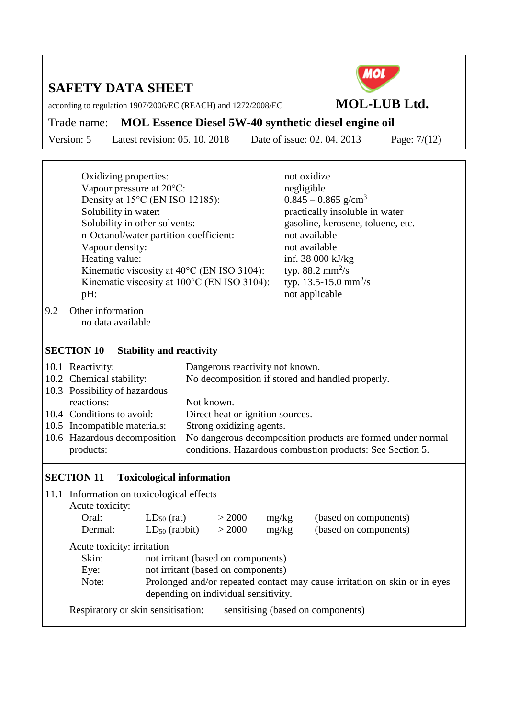according to regulation 1907/2006/EC (REACH) and 1272/2008/EC **MOL-LUB Ltd.** 



Trade name: **MOL Essence Diesel 5W-40 synthetic diesel engine oil**

Version: 5 Latest revision: 05. 10. 2018 Date of issue: 02. 04. 2013 Page: 7/(12)

| 9.2                                                                                                                                                                                                                                                                                                                                                                                                                                | Oxidizing properties:<br>Vapour pressure at 20°C:<br>Solubility in water:<br>Solubility in other solvents:<br>Vapour density:<br>Heating value:<br>pH:<br>Other information<br>no data available | Density at 15°C (EN ISO 12185):<br>n-Octanol/water partition coefficient:<br>Kinematic viscosity at 40°C (EN ISO 3104):<br>Kinematic viscosity at 100°C (EN ISO 3104): |                  |                | not oxidize<br>negligible<br>$0.845 - 0.865$ g/cm <sup>3</sup><br>practically insoluble in water<br>gasoline, kerosene, toluene, etc.<br>not available<br>not available<br>inf. 38 000 kJ/kg<br>typ. 88.2 mm <sup>2</sup> /s<br>typ. 13.5-15.0 mm <sup>2</sup> /s<br>not applicable |
|------------------------------------------------------------------------------------------------------------------------------------------------------------------------------------------------------------------------------------------------------------------------------------------------------------------------------------------------------------------------------------------------------------------------------------|--------------------------------------------------------------------------------------------------------------------------------------------------------------------------------------------------|------------------------------------------------------------------------------------------------------------------------------------------------------------------------|------------------|----------------|-------------------------------------------------------------------------------------------------------------------------------------------------------------------------------------------------------------------------------------------------------------------------------------|
|                                                                                                                                                                                                                                                                                                                                                                                                                                    |                                                                                                                                                                                                  |                                                                                                                                                                        |                  |                |                                                                                                                                                                                                                                                                                     |
|                                                                                                                                                                                                                                                                                                                                                                                                                                    |                                                                                                                                                                                                  |                                                                                                                                                                        |                  |                |                                                                                                                                                                                                                                                                                     |
| <b>SECTION 10</b><br><b>Stability and reactivity</b><br>10.1 Reactivity:<br>Dangerous reactivity not known.<br>10.2 Chemical stability:<br>No decomposition if stored and handled properly.<br>10.3 Possibility of hazardous<br>reactions:<br>Not known.<br>10.4 Conditions to avoid:<br>Direct heat or ignition sources.<br>10.5 Incompatible materials:<br>Strong oxidizing agents.<br>10.6 Hazardous decomposition<br>products: |                                                                                                                                                                                                  |                                                                                                                                                                        |                  |                | No dangerous decomposition products are formed under normal<br>conditions. Hazardous combustion products: See Section 5.                                                                                                                                                            |
|                                                                                                                                                                                                                                                                                                                                                                                                                                    | <b>SECTION 11</b>                                                                                                                                                                                | <b>Toxicological information</b>                                                                                                                                       |                  |                |                                                                                                                                                                                                                                                                                     |
|                                                                                                                                                                                                                                                                                                                                                                                                                                    | 11.1 Information on toxicological effects<br>Acute toxicity:<br>Oral:<br>Dermal:<br>Acute toxicity: irritation<br>Skin:<br>Eye:<br>Note:                                                         | $LD_{50}$ (rat)<br>$LD_{50}$ (rabbit)<br>not irritant (based on components)<br>not irritant (based on components)<br>depending on individual sensitivity.              | > 2000<br>> 2000 | mg/kg<br>mg/kg | (based on components)<br>(based on components)<br>Prolonged and/or repeated contact may cause irritation on skin or in eyes                                                                                                                                                         |

Respiratory or skin sensitisation: sensitising (based on components)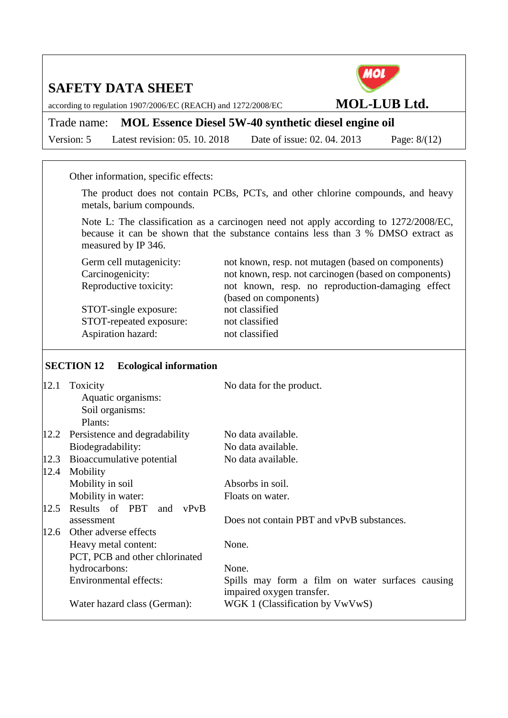according to regulation 1907/2006/EC (REACH) and 1272/2008/EC **MOL-LUB Ltd.**

Trade name: **MOL Essence Diesel 5W-40 synthetic diesel engine oil** Version: 5 Latest revision: 05. 10. 2018 Date of issue: 02. 04. 2013 Page: 8/(12)

Other information, specific effects:

The product does not contain PCBs, PCTs, and other chlorine compounds, and heavy metals, barium compounds.

Note L: The classification as a carcinogen need not apply according to 1272/2008/EC, because it can be shown that the substance contains less than 3 % DMSO extract as measured by IP 346.

STOT-single exposure: not classified STOT-repeated exposure: not classified Aspiration hazard: not classified

Germ cell mutagenicity: not known, resp. not mutagen (based on components) Carcinogenicity: not known, resp. not carcinogen (based on components) Reproductive toxicity: not known, resp. no reproduction-damaging effect (based on components)

#### **SECTION 12 Ecological information**

| 12.1 | Toxicity                       | No data for the product.                         |
|------|--------------------------------|--------------------------------------------------|
|      | Aquatic organisms:             |                                                  |
|      | Soil organisms:                |                                                  |
|      | Plants:                        |                                                  |
| 12.2 | Persistence and degradability  | No data available.                               |
|      | Biodegradability:              | No data available.                               |
| 12.3 | Bioaccumulative potential      | No data available.                               |
| 12.4 | Mobility                       |                                                  |
|      | Mobility in soil               | Absorbs in soil.                                 |
|      | Mobility in water:             | Floats on water.                                 |
| 12.5 | Results of PBT<br>vPvB<br>and  |                                                  |
|      | assessment                     | Does not contain PBT and vPvB substances.        |
| 12.6 | Other adverse effects          |                                                  |
|      | Heavy metal content:           | None.                                            |
|      | PCT, PCB and other chlorinated |                                                  |
|      | hydrocarbons:                  | None.                                            |
|      | Environmental effects:         | Spills may form a film on water surfaces causing |
|      |                                | impaired oxygen transfer.                        |
|      | Water hazard class (German):   | WGK 1 (Classification by VwVwS)                  |
|      |                                |                                                  |

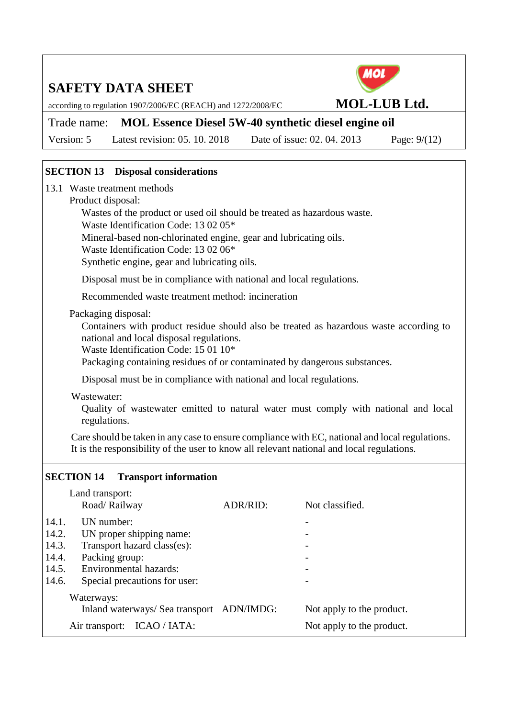according to regulation 1907/2006/EC (REACH) and 1272/2008/EC **MOL-LUB Ltd.**



Trade name: **MOL Essence Diesel 5W-40 synthetic diesel engine oil**

Version: 5 Latest revision: 05. 10. 2018 Date of issue: 02. 04. 2013 Page: 9/(12)

### **SECTION 13 Disposal considerations**

13.1 Waste treatment methods

#### Product disposal:

Wastes of the product or used oil should be treated as hazardous waste.

Waste Identification Code: 13 02 05\*

Mineral-based non-chlorinated engine, gear and lubricating oils.

Waste Identification Code: 13 02 06\*

Synthetic engine, gear and lubricating oils.

Disposal must be in compliance with national and local regulations.

Recommended waste treatment method: incineration

Packaging disposal:

Containers with product residue should also be treated as hazardous waste according to national and local disposal regulations.

Waste Identification Code: 15 01 10\*

Packaging containing residues of or contaminated by dangerous substances.

Disposal must be in compliance with national and local regulations.

Wastewater:

Quality of wastewater emitted to natural water must comply with national and local regulations.

Care should be taken in any case to ensure compliance with EC, national and local regulations. It is the responsibility of the user to know all relevant national and local regulations.

#### **SECTION 14 Transport information**

|       | Land transport:                           |          |                           |  |
|-------|-------------------------------------------|----------|---------------------------|--|
|       | Road/Railway                              | ADR/RID: | Not classified.           |  |
| 14.1. | UN number:                                |          |                           |  |
| 14.2. | UN proper shipping name:                  |          |                           |  |
| 14.3. | Transport hazard class(es):               |          |                           |  |
| 14.4. | Packing group:                            |          |                           |  |
| 14.5. | Environmental hazards:                    |          |                           |  |
| 14.6. | Special precautions for user:             |          |                           |  |
|       | Waterways:                                |          |                           |  |
|       | Inland waterways/ Sea transport ADN/IMDG: |          | Not apply to the product. |  |
|       | ICAO / IATA:<br>Air transport:            |          | Not apply to the product. |  |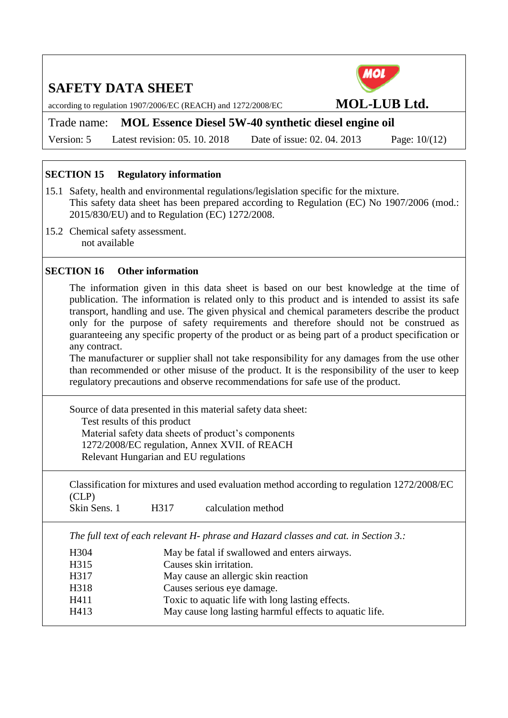according to regulation 1907/2006/EC (REACH) and 1272/2008/EC **MOL-LUB Ltd.**

Trade name: **MOL Essence Diesel 5W-40 synthetic diesel engine oil**

Version: 5 Latest revision: 05. 10. 2018 Date of issue: 02. 04. 2013 Page: 10/(12)

#### **SECTION 15 Regulatory information**

- 15.1 Safety, health and environmental regulations/legislation specific for the mixture. This safety data sheet has been prepared according to Regulation (EC) No 1907/2006 (mod.: 2015/830/EU) and to Regulation (EC) 1272/2008.
- 15.2 Chemical safety assessment. not available

#### **SECTION 16 Other information**

The information given in this data sheet is based on our best knowledge at the time of publication. The information is related only to this product and is intended to assist its safe transport, handling and use. The given physical and chemical parameters describe the product only for the purpose of safety requirements and therefore should not be construed as guaranteeing any specific property of the product or as being part of a product specification or any contract.

The manufacturer or supplier shall not take responsibility for any damages from the use other than recommended or other misuse of the product. It is the responsibility of the user to keep regulatory precautions and observe recommendations for safe use of the product.

Source of data presented in this material safety data sheet: Test results of this product Material safety data sheets of product's components 1272/2008/EC regulation, Annex XVII. of REACH Relevant Hungarian and EU regulations

Classification for mixtures and used evaluation method according to regulation 1272/2008/EC (CLP)

*The full text of each relevant H- phrase and Hazard classes and cat. in Section 3.:*

H304 May be fatal if swallowed and enters airways. H315 Causes skin irritation. H317 May cause an allergic skin reaction H318 Causes serious eye damage. H411 Toxic to aquatic life with long lasting effects. H413 May cause long lasting harmful effects to aquatic life.

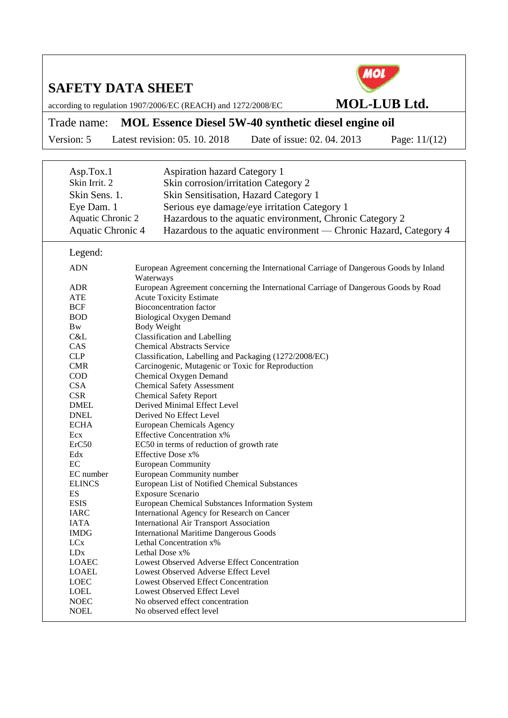according to regulation 1907/2006/EC (REACH) and 1272/2008/EC **MOL-LUB Ltd.** 



# Trade name: **MOL Essence Diesel 5W-40 synthetic diesel engine oil**

Version: 5 Latest revision: 05. 10. 2018 Date of issue: 02. 04. 2013 Page: 11/(12)

| Asp.Tox.1                | <b>Aspiration hazard Category 1</b>                                                                |
|--------------------------|----------------------------------------------------------------------------------------------------|
| Skin Irrit. 2            | Skin corrosion/irritation Category 2                                                               |
| Skin Sens. 1.            | Skin Sensitisation, Hazard Category 1                                                              |
| Eye Dam. 1               | Serious eye damage/eye irritation Category 1                                                       |
| Aquatic Chronic 2        |                                                                                                    |
|                          | Hazardous to the aquatic environment, Chronic Category 2                                           |
| <b>Aquatic Chronic 4</b> | Hazardous to the aquatic environment — Chronic Hazard, Category 4                                  |
| Legend:                  |                                                                                                    |
| <b>ADN</b>               | European Agreement concerning the International Carriage of Dangerous Goods by Inland<br>Waterways |
| <b>ADR</b>               | European Agreement concerning the International Carriage of Dangerous Goods by Road                |
| <b>ATE</b>               | <b>Acute Toxicity Estimate</b>                                                                     |
| <b>BCF</b>               | <b>Bioconcentration factor</b>                                                                     |
| <b>BOD</b>               | <b>Biological Oxygen Demand</b>                                                                    |
| <b>B</b> <sub>w</sub>    | <b>Body Weight</b>                                                                                 |
| C&L                      | <b>Classification and Labelling</b>                                                                |
| CAS                      | <b>Chemical Abstracts Service</b>                                                                  |
| <b>CLP</b>               | Classification, Labelling and Packaging (1272/2008/EC)                                             |
| <b>CMR</b>               | Carcinogenic, Mutagenic or Toxic for Reproduction                                                  |
| <b>COD</b>               | Chemical Oxygen Demand                                                                             |
| <b>CSA</b>               | <b>Chemical Safety Assessment</b>                                                                  |
| <b>CSR</b>               | <b>Chemical Safety Report</b>                                                                      |
| <b>DMEL</b>              | Derived Minimal Effect Level                                                                       |
| <b>DNEL</b>              | Derived No Effect Level                                                                            |
| <b>ECHA</b>              | European Chemicals Agency                                                                          |
| Ecx                      | <b>Effective Concentration x%</b>                                                                  |
| ErC50                    | EC50 in terms of reduction of growth rate                                                          |
| Edx                      | Effective Dose x%                                                                                  |
| EC                       | <b>European Community</b>                                                                          |
| EC number                | European Community number                                                                          |
| <b>ELINCS</b>            | European List of Notified Chemical Substances                                                      |
| ES                       | Exposure Scenario                                                                                  |
| <b>ESIS</b>              | European Chemical Substances Information System                                                    |
| <b>IARC</b>              | International Agency for Research on Cancer                                                        |
| <b>IATA</b>              | International Air Transport Association                                                            |
| <b>IMDG</b>              | <b>International Maritime Dangerous Goods</b>                                                      |
| <b>LC</b> <sub>x</sub>   | Lethal Concentration x%                                                                            |
| <b>LD</b> <sub>x</sub>   | Lethal Dose x%                                                                                     |
| <b>LOAEC</b>             | Lowest Observed Adverse Effect Concentration                                                       |
| <b>LOAEL</b>             | Lowest Observed Adverse Effect Level                                                               |
| <b>LOEC</b>              | <b>Lowest Observed Effect Concentration</b>                                                        |
| <b>LOEL</b>              | Lowest Observed Effect Level                                                                       |
| <b>NOEC</b>              | No observed effect concentration                                                                   |
| <b>NOEL</b>              | No observed effect level                                                                           |